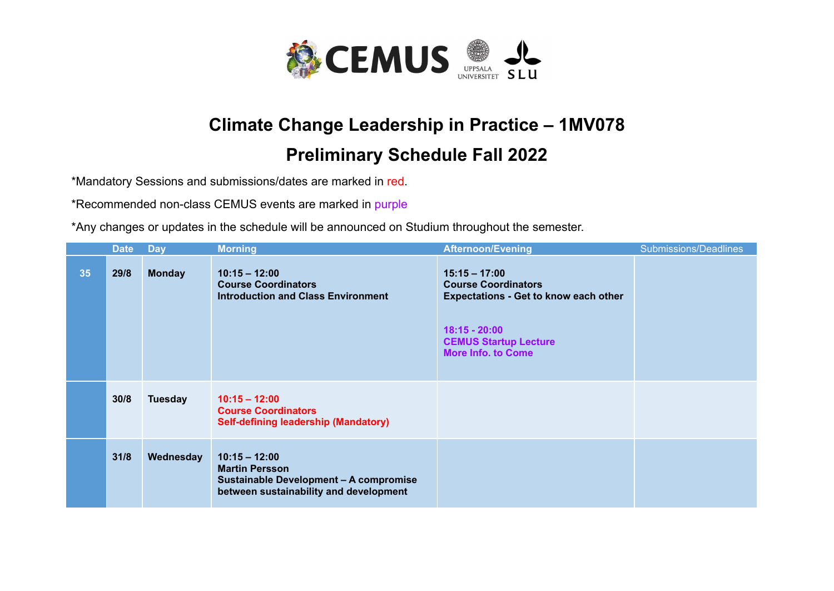

## **Climate Change Leadership in Practice – 1MV078**

## **Preliminary Schedule Fall 2022**

\*Mandatory Sessions and submissions/dates are marked in red.

\*Recommended non-class CEMUS events are marked in purple

\*Any changes or updates in the schedule will be announced on Studium throughout the semester.

|    | <b>Date</b> | <b>Day</b>     | <b>Morning</b>                                                                                                               | <b>Afternoon/Evening</b>                                                                                                                                                      | Submissions/Deadlines |
|----|-------------|----------------|------------------------------------------------------------------------------------------------------------------------------|-------------------------------------------------------------------------------------------------------------------------------------------------------------------------------|-----------------------|
| 35 | 29/8        | <b>Monday</b>  | $10:15 - 12:00$<br><b>Course Coordinators</b><br><b>Introduction and Class Environment</b>                                   | $15:15 - 17:00$<br><b>Course Coordinators</b><br><b>Expectations - Get to know each other</b><br>$18:15 - 20:00$<br><b>CEMUS Startup Lecture</b><br><b>More Info. to Come</b> |                       |
|    | 30/8        | <b>Tuesday</b> | $10:15 - 12:00$<br><b>Course Coordinators</b><br><b>Self-defining leadership (Mandatory)</b>                                 |                                                                                                                                                                               |                       |
|    | 31/8        | Wednesday      | $10:15 - 12:00$<br><b>Martin Persson</b><br>Sustainable Development - A compromise<br>between sustainability and development |                                                                                                                                                                               |                       |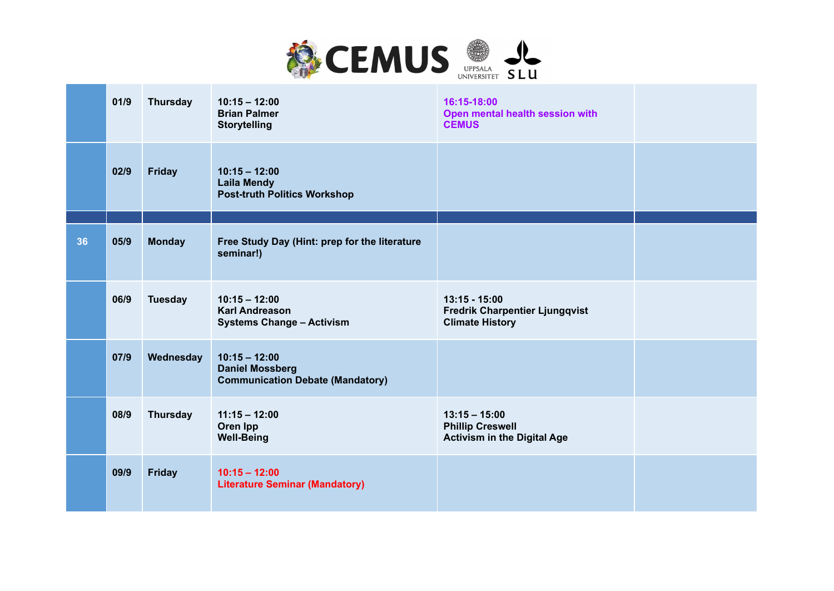

|    | 01/9 | <b>Thursday</b> | $10:15 - 12:00$<br><b>Brian Palmer</b><br><b>Storytelling</b>                        | 16:15-18:00<br>Open mental health session with<br><b>CEMUS</b>                     |  |
|----|------|-----------------|--------------------------------------------------------------------------------------|------------------------------------------------------------------------------------|--|
|    | 02/9 | <b>Friday</b>   | $10:15 - 12:00$<br><b>Laila Mendy</b><br><b>Post-truth Politics Workshop</b>         |                                                                                    |  |
| 36 | 05/9 | <b>Monday</b>   | Free Study Day (Hint: prep for the literature<br>seminar!)                           |                                                                                    |  |
|    | 06/9 | <b>Tuesday</b>  | $10:15 - 12:00$<br><b>Karl Andreason</b><br><b>Systems Change - Activism</b>         | $13:15 - 15:00$<br><b>Fredrik Charpentier Ljungqvist</b><br><b>Climate History</b> |  |
|    | 07/9 | Wednesday       | $10:15 - 12:00$<br><b>Daniel Mossberg</b><br><b>Communication Debate (Mandatory)</b> |                                                                                    |  |
|    | 08/9 | <b>Thursday</b> | $11:15 - 12:00$<br>Oren Ipp<br><b>Well-Being</b>                                     | $13:15 - 15:00$<br><b>Phillip Creswell</b><br><b>Activism in the Digital Age</b>   |  |
|    | 09/9 | <b>Friday</b>   | $10:15 - 12:00$<br><b>Literature Seminar (Mandatory)</b>                             |                                                                                    |  |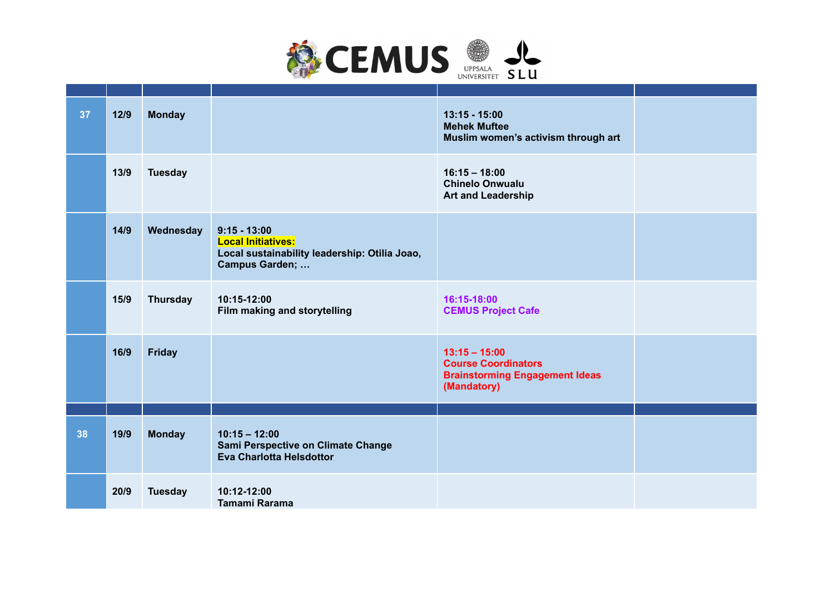

| 37 | $12/9$ | <b>Monday</b>   |                                                                                                                        | $13:15 - 15:00$<br><b>Mehek Muftee</b><br>Muslim women's activism through art                         |  |
|----|--------|-----------------|------------------------------------------------------------------------------------------------------------------------|-------------------------------------------------------------------------------------------------------|--|
|    | 13/9   | <b>Tuesday</b>  |                                                                                                                        | $16:15 - 18:00$<br><b>Chinelo Onwualu</b><br><b>Art and Leadership</b>                                |  |
|    | 14/9   | Wednesday       | $9:15 - 13:00$<br><b>Local Initiatives:</b><br>Local sustainability leadership: Otilia Joao,<br><b>Campus Garden; </b> |                                                                                                       |  |
|    | 15/9   | <b>Thursday</b> | 10:15-12:00<br>Film making and storytelling                                                                            | 16:15-18:00<br><b>CEMUS Project Cafe</b>                                                              |  |
|    | 16/9   | <b>Friday</b>   |                                                                                                                        | $13:15 - 15:00$<br><b>Course Coordinators</b><br><b>Brainstorming Engagement Ideas</b><br>(Mandatory) |  |
|    |        |                 |                                                                                                                        |                                                                                                       |  |
| 38 | 19/9   | <b>Monday</b>   | $10:15 - 12:00$<br>Sami Perspective on Climate Change<br>Eva Charlotta Helsdottor                                      |                                                                                                       |  |
|    | 20/9   | <b>Tuesday</b>  | 10:12-12:00<br>Tamami Rarama                                                                                           |                                                                                                       |  |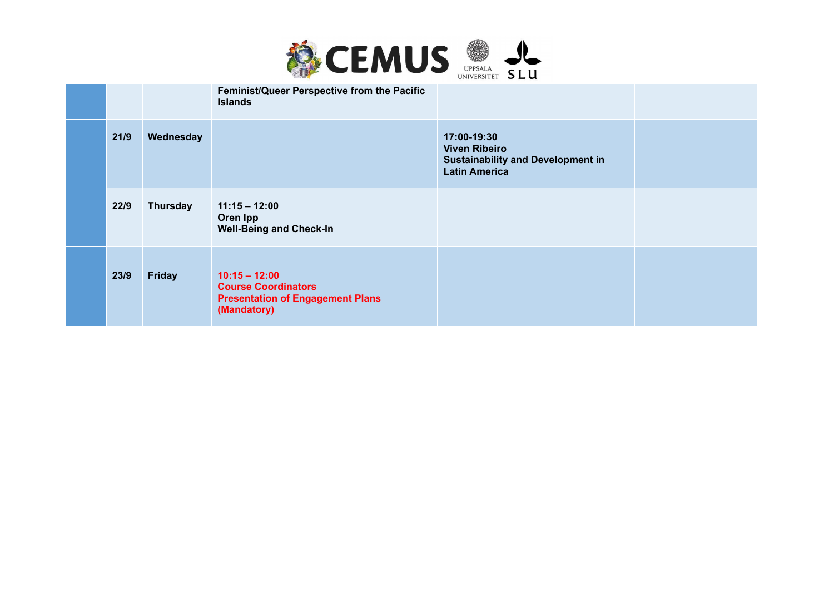

|      |               | Feminist/Queer Perspective from the Pacific<br><b>Islands</b>                                           |                                                                                                         |  |
|------|---------------|---------------------------------------------------------------------------------------------------------|---------------------------------------------------------------------------------------------------------|--|
| 21/9 | Wednesday     |                                                                                                         | 17:00-19:30<br><b>Viven Ribeiro</b><br><b>Sustainability and Development in</b><br><b>Latin America</b> |  |
| 22/9 | Thursday      | $11:15 - 12:00$<br>Oren Ipp<br><b>Well-Being and Check-In</b>                                           |                                                                                                         |  |
| 23/9 | <b>Friday</b> | $10:15 - 12:00$<br><b>Course Coordinators</b><br><b>Presentation of Engagement Plans</b><br>(Mandatory) |                                                                                                         |  |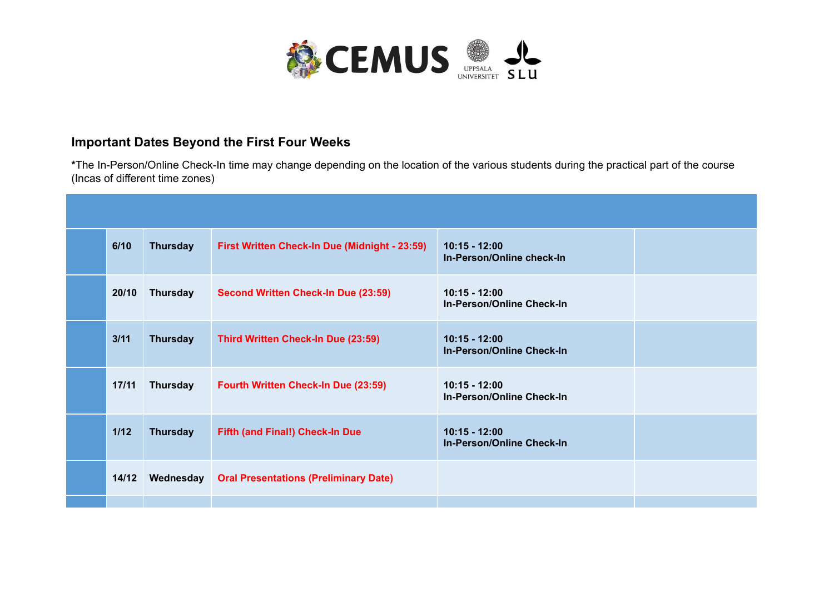

## **Important Dates Beyond the First Four Weeks**

**\***The In-Person/Online Check-In time may change depending on the location of the various students during the practical part of the course (Incas of different time zones)

| 6/10   | <b>Thursday</b> | First Written Check-In Due (Midnight - 23:59) | $10:15 - 12:00$<br>In-Person/Online check-In        |  |
|--------|-----------------|-----------------------------------------------|-----------------------------------------------------|--|
| 20/10  | <b>Thursday</b> | Second Written Check-In Due (23:59)           | $10:15 - 12:00$<br>In-Person/Online Check-In        |  |
| 3/11   | <b>Thursday</b> | Third Written Check-In Due (23:59)            | $10:15 - 12:00$<br><b>In-Person/Online Check-In</b> |  |
| 17/11  | Thursday        | Fourth Written Check-In Due (23:59)           | $10:15 - 12:00$<br>In-Person/Online Check-In        |  |
| $1/12$ | <b>Thursday</b> | Fifth (and Final!) Check-In Due               | $10:15 - 12:00$<br><b>In-Person/Online Check-In</b> |  |
| 14/12  | Wednesday       | <b>Oral Presentations (Preliminary Date)</b>  |                                                     |  |
|        |                 |                                               |                                                     |  |